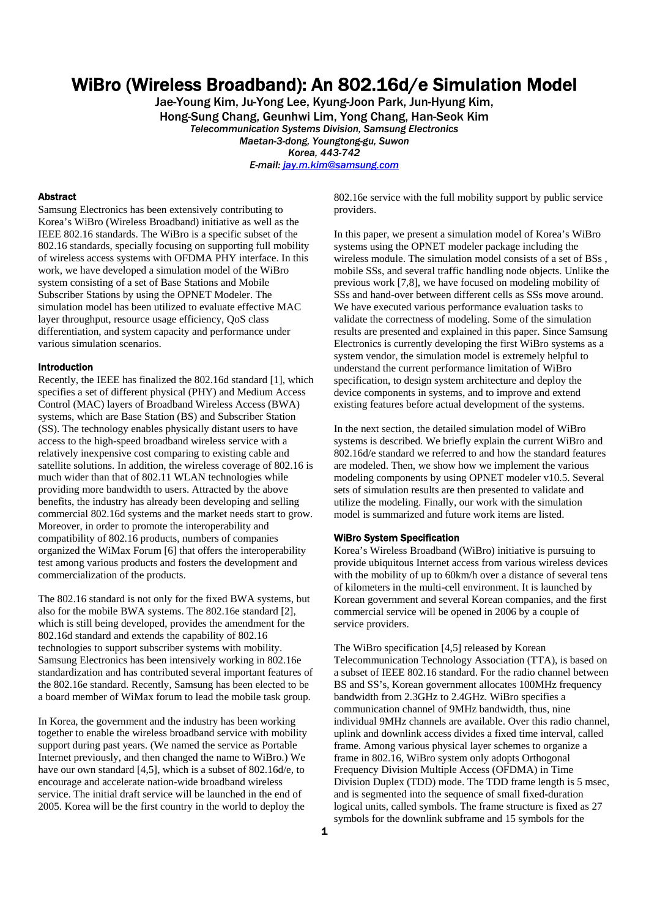# WiBro (Wireless Broadband): An 802.16d/e Simulation Model

Jae-Young Kim, Ju-Yong Lee, Kyung-Joon Park, Jun-Hyung Kim, Hong-Sung Chang, Geunhwi Lim, Yong Chang, Han-Seok Kim *Telecommunication Systems Division, Samsung Electronics Maetan-3-dong, Youngtong-gu, Suwon Korea, 443-742 E-mail: jay.m.kim@samsung.com*

#### Abstract

Samsung Electronics has been extensively contributing to Korea's WiBro (Wireless Broadband) initiative as well as the IEEE 802.16 standards. The WiBro is a specific subset of the 802.16 standards, specially focusing on supporting full mobility of wireless access systems with OFDMA PHY interface. In this work, we have developed a simulation model of the WiBro system consisting of a set of Base Stations and Mobile Subscriber Stations by using the OPNET Modeler. The simulation model has been utilized to evaluate effective MAC layer throughput, resource usage efficiency, QoS class differentiation, and system capacity and performance under various simulation scenarios.

#### Introduction

Recently, the IEEE has finalized the 802.16d standard [1], which specifies a set of different physical (PHY) and Medium Access Control (MAC) layers of Broadband Wireless Access (BWA) systems, which are Base Station (BS) and Subscriber Station (SS). The technology enables physically distant users to have access to the high-speed broadband wireless service with a relatively inexpensive cost comparing to existing cable and satellite solutions. In addition, the wireless coverage of 802.16 is much wider than that of 802.11 WLAN technologies while providing more bandwidth to users. Attracted by the above benefits, the industry has already been developing and selling commercial 802.16d systems and the market needs start to grow. Moreover, in order to promote the interoperability and compatibility of 802.16 products, numbers of companies organized the WiMax Forum [6] that offers the interoperability test among various products and fosters the development and commercialization of the products.

The 802.16 standard is not only for the fixed BWA systems, but also for the mobile BWA systems. The 802.16e standard [2], which is still being developed, provides the amendment for the 802.16d standard and extends the capability of 802.16 technologies to support subscriber systems with mobility. Samsung Electronics has been intensively working in 802.16e standardization and has contributed several important features of the 802.16e standard. Recently, Samsung has been elected to be a board member of WiMax forum to lead the mobile task group.

In Korea, the government and the industry has been working together to enable the wireless broadband service with mobility support during past years. (We named the service as Portable Internet previously, and then changed the name to WiBro.) We have our own standard [4,5], which is a subset of 802.16d/e, to encourage and accelerate nation-wide broadband wireless service. The initial draft service will be launched in the end of 2005. Korea will be the first country in the world to deploy the

802.16e service with the full mobility support by public service providers.

In this paper, we present a simulation model of Korea's WiBro systems using the OPNET modeler package including the wireless module. The simulation model consists of a set of BSs , mobile SSs, and several traffic handling node objects. Unlike the previous work [7,8], we have focused on modeling mobility of SSs and hand-over between different cells as SSs move around. We have executed various performance evaluation tasks to validate the correctness of modeling. Some of the simulation results are presented and explained in this paper. Since Samsung Electronics is currently developing the first WiBro systems as a system vendor, the simulation model is extremely helpful to understand the current performance limitation of WiBro specification, to design system architecture and deploy the device components in systems, and to improve and extend existing features before actual development of the systems.

In the next section, the detailed simulation model of WiBro systems is described. We briefly explain the current WiBro and 802.16d/e standard we referred to and how the standard features are modeled. Then, we show how we implement the various modeling components by using OPNET modeler v10.5. Several sets of simulation results are then presented to validate and utilize the modeling. Finally, our work with the simulation model is summarized and future work items are listed.

# WiBro System Specification

Korea's Wireless Broadband (WiBro) initiative is pursuing to provide ubiquitous Internet access from various wireless devices with the mobility of up to 60km/h over a distance of several tens of kilometers in the multi-cell environment. It is launched by Korean government and several Korean companies, and the first commercial service will be opened in 2006 by a couple of service providers.

The WiBro specification [4,5] released by Korean Telecommunication Technology Association (TTA), is based on a subset of IEEE 802.16 standard. For the radio channel between BS and SS's, Korean government allocates 100MHz frequency bandwidth from 2.3GHz to 2.4GHz. WiBro specifies a communication channel of 9MHz bandwidth, thus, nine individual 9MHz channels are available. Over this radio channel, uplink and downlink access divides a fixed time interval, called frame. Among various physical layer schemes to organize a frame in 802.16, WiBro system only adopts Orthogonal Frequency Division Multiple Access (OFDMA) in Time Division Duplex (TDD) mode. The TDD frame length is 5 msec, and is segmented into the sequence of small fixed-duration logical units, called symbols. The frame structure is fixed as 27 symbols for the downlink subframe and 15 symbols for the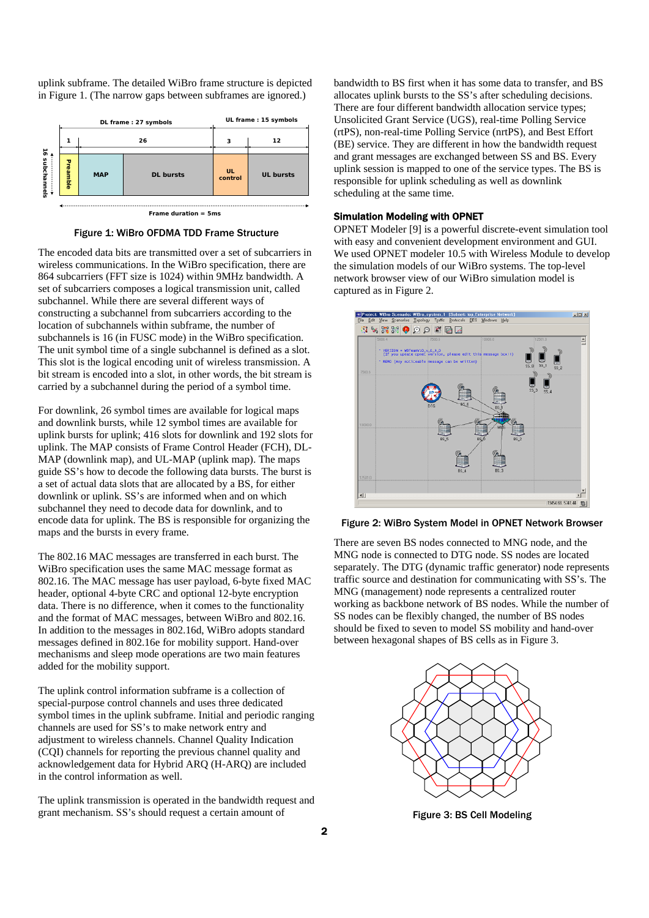uplink subframe. The detailed WiBro frame structure is depicted in Figure 1. (The narrow gaps between subframes are ignored.)



Figure 1: WiBro OFDMA TDD Frame Structure

The encoded data bits are transmitted over a set of subcarriers in wireless communications. In the WiBro specification, there are 864 subcarriers (FFT size is 1024) within 9MHz bandwidth. A set of subcarriers composes a logical transmission unit, called subchannel. While there are several different ways of constructing a subchannel from subcarriers according to the location of subchannels within subframe, the number of subchannels is 16 (in FUSC mode) in the WiBro specification. The unit symbol time of a single subchannel is defined as a slot. This slot is the logical encoding unit of wireless transmission. A bit stream is encoded into a slot, in other words, the bit stream is carried by a subchannel during the period of a symbol time.

For downlink, 26 symbol times are available for logical maps and downlink bursts, while 12 symbol times are available for uplink bursts for uplink; 416 slots for downlink and 192 slots for uplink. The MAP consists of Frame Control Header (FCH), DL-MAP (downlink map), and UL-MAP (uplink map). The maps guide SS's how to decode the following data bursts. The burst is a set of actual data slots that are allocated by a BS, for either downlink or uplink. SS's are informed when and on which subchannel they need to decode data for downlink, and to encode data for uplink. The BS is responsible for organizing the maps and the bursts in every frame.

The 802.16 MAC messages are transferred in each burst. The WiBro specification uses the same MAC message format as 802.16. The MAC message has user payload, 6-byte fixed MAC header, optional 4-byte CRC and optional 12-byte encryption data. There is no difference, when it comes to the functionality and the format of MAC messages, between WiBro and 802.16. In addition to the messages in 802.16d, WiBro adopts standard messages defined in 802.16e for mobility support. Hand-over mechanisms and sleep mode operations are two main features added for the mobility support.

The uplink control information subframe is a collection of special-purpose control channels and uses three dedicated symbol times in the uplink subframe. Initial and periodic ranging channels are used for SS's to make network entry and adjustment to wireless channels. Channel Quality Indication (CQI) channels for reporting the previous channel quality and acknowledgement data for Hybrid ARQ (H-ARQ) are included in the control information as well.

The uplink transmission is operated in the bandwidth request and grant mechanism. SS's should request a certain amount of

bandwidth to BS first when it has some data to transfer, and BS allocates uplink bursts to the SS's after scheduling decisions. There are four different bandwidth allocation service types; Unsolicited Grant Service (UGS), real-time Polling Service (rtPS), non-real-time Polling Service (nrtPS), and Best Effort (BE) service. They are different in how the bandwidth request and grant messages are exchanged between SS and BS. Every uplink session is mapped to one of the service types. The BS is responsible for uplink scheduling as well as downlink scheduling at the same time.

## Simulation Modeling with OPNET

OPNET Modeler [9] is a powerful discrete-event simulation tool with easy and convenient development environment and GUI. We used OPNET modeler 10.5 with Wireless Module to develop the simulation models of our WiBro systems. The top-level network browser view of our WiBro simulation model is captured as in Figure 2.





There are seven BS nodes connected to MNG node, and the MNG node is connected to DTG node. SS nodes are located separately. The DTG (dynamic traffic generator) node represents traffic source and destination for communicating with SS's. The MNG (management) node represents a centralized router working as backbone network of BS nodes. While the number of SS nodes can be flexibly changed, the number of BS nodes should be fixed to seven to model SS mobility and hand-over between hexagonal shapes of BS cells as in Figure 3.



Figure 3: BS Cell Modeling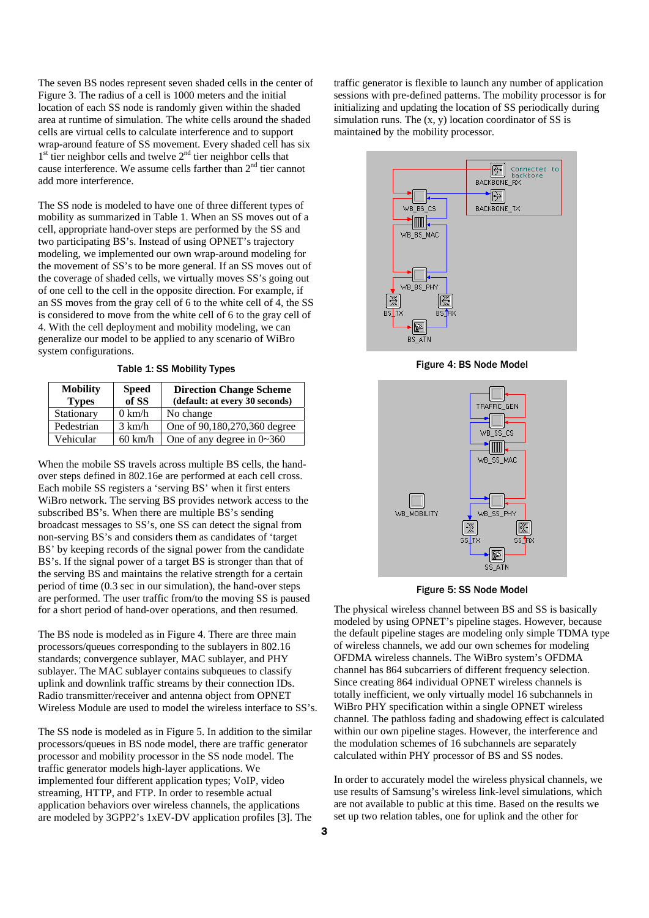The seven BS nodes represent seven shaded cells in the center of Figure 3. The radius of a cell is 1000 meters and the initial location of each SS node is randomly given within the shaded area at runtime of simulation. The white cells around the shaded cells are virtual cells to calculate interference and to support wrap-around feature of SS movement. Every shaded cell has six  $1<sup>st</sup>$  tier neighbor cells and twelve  $2<sup>nd</sup>$  tier neighbor cells that cause interference. We assume cells farther than 2<sup>nd</sup> tier cannot add more interference.

The SS node is modeled to have one of three different types of mobility as summarized in Table 1. When an SS moves out of a cell, appropriate hand-over steps are performed by the SS and two participating BS's. Instead of using OPNET's trajectory modeling, we implemented our own wrap-around modeling for the movement of SS's to be more general. If an SS moves out of the coverage of shaded cells, we virtually moves SS's going out of one cell to the cell in the opposite direction. For example, if an SS moves from the gray cell of 6 to the white cell of 4, the SS is considered to move from the white cell of 6 to the gray cell of 4. With the cell deployment and mobility modeling, we can generalize our model to be applied to any scenario of WiBro system configurations.

Table 1: SS Mobility Types

| <b>Mobility</b><br><b>Types</b> | <b>Speed</b><br>of SS | <b>Direction Change Scheme</b><br>(default: at every 30 seconds) |
|---------------------------------|-----------------------|------------------------------------------------------------------|
| Stationary                      | $0 \text{ km/h}$      | No change                                                        |
| Pedestrian                      | $3 \text{ km/h}$      | One of 90,180,270,360 degree                                     |
| Vehicular                       | $60 \text{ km/h}$     | One of any degree in $0 \sim 360$                                |

When the mobile SS travels across multiple BS cells, the handover steps defined in 802.16e are performed at each cell cross. Each mobile SS registers a 'serving BS' when it first enters WiBro network. The serving BS provides network access to the subscribed BS's. When there are multiple BS's sending broadcast messages to SS's, one SS can detect the signal from non-serving BS's and considers them as candidates of 'target BS' by keeping records of the signal power from the candidate BS's. If the signal power of a target BS is stronger than that of the serving BS and maintains the relative strength for a certain period of time (0.3 sec in our simulation), the hand-over steps are performed. The user traffic from/to the moving SS is paused for a short period of hand-over operations, and then resumed.

The BS node is modeled as in Figure 4. There are three main processors/queues corresponding to the sublayers in 802.16 standards; convergence sublayer, MAC sublayer, and PHY sublayer. The MAC sublayer contains subqueues to classify uplink and downlink traffic streams by their connection IDs. Radio transmitter/receiver and antenna object from OPNET Wireless Module are used to model the wireless interface to SS's.

The SS node is modeled as in Figure 5. In addition to the similar processors/queues in BS node model, there are traffic generator processor and mobility processor in the SS node model. The traffic generator models high-layer applications. We implemented four different application types; VoIP, video streaming, HTTP, and FTP. In order to resemble actual application behaviors over wireless channels, the applications are modeled by 3GPP2's 1xEV-DV application profiles [3]. The

traffic generator is flexible to launch any number of application sessions with pre-defined patterns. The mobility processor is for initializing and updating the location of SS periodically during simulation runs. The  $(x, y)$  location coordinator of SS is maintained by the mobility processor.



Figure 4: BS Node Model



Figure 5: SS Node Model

The physical wireless channel between BS and SS is basically modeled by using OPNET's pipeline stages. However, because the default pipeline stages are modeling only simple TDMA type of wireless channels, we add our own schemes for modeling OFDMA wireless channels. The WiBro system's OFDMA channel has 864 subcarriers of different frequency selection. Since creating 864 individual OPNET wireless channels is totally inefficient, we only virtually model 16 subchannels in WiBro PHY specification within a single OPNET wireless channel. The pathloss fading and shadowing effect is calculated within our own pipeline stages. However, the interference and the modulation schemes of 16 subchannels are separately calculated within PHY processor of BS and SS nodes.

In order to accurately model the wireless physical channels, we use results of Samsung's wireless link-level simulations, which are not available to public at this time. Based on the results we set up two relation tables, one for uplink and the other for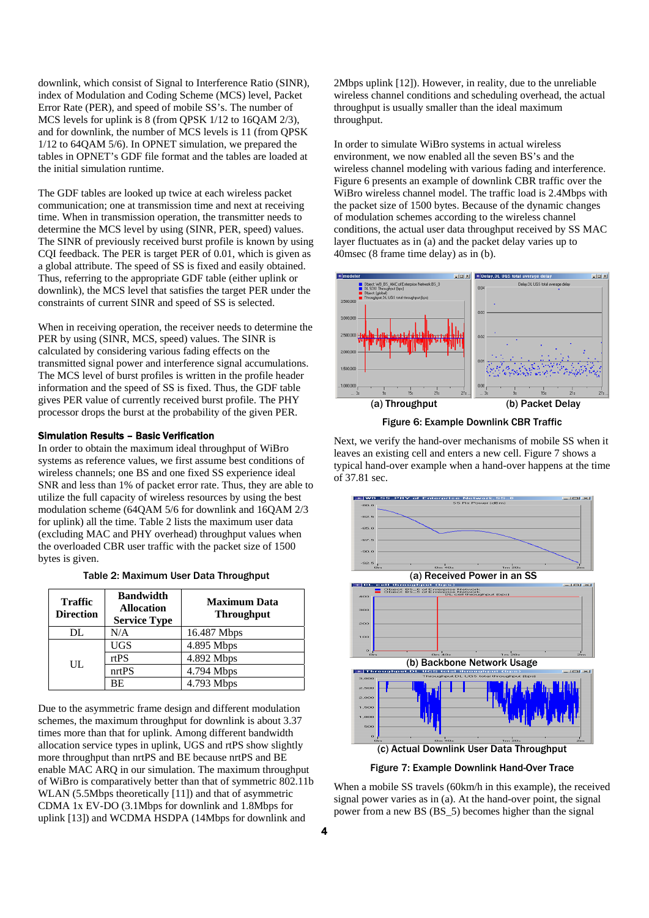downlink, which consist of Signal to Interference Ratio (SINR), index of Modulation and Coding Scheme (MCS) level, Packet Error Rate (PER), and speed of mobile SS's. The number of MCS levels for uplink is 8 (from QPSK 1/12 to 16QAM 2/3), and for downlink, the number of MCS levels is 11 (from QPSK 1/12 to 64QAM 5/6). In OPNET simulation, we prepared the tables in OPNET's GDF file format and the tables are loaded at the initial simulation runtime.

The GDF tables are looked up twice at each wireless packet communication; one at transmission time and next at receiving time. When in transmission operation, the transmitter needs to determine the MCS level by using (SINR, PER, speed) values. The SINR of previously received burst profile is known by using CQI feedback. The PER is target PER of 0.01, which is given as a global attribute. The speed of SS is fixed and easily obtained. Thus, referring to the appropriate GDF table (either uplink or downlink), the MCS level that satisfies the target PER under the constraints of current SINR and speed of SS is selected.

When in receiving operation, the receiver needs to determine the PER by using (SINR, MCS, speed) values. The SINR is calculated by considering various fading effects on the transmitted signal power and interference signal accumulations. The MCS level of burst profiles is written in the profile header information and the speed of SS is fixed. Thus, the GDF table gives PER value of currently received burst profile. The PHY processor drops the burst at the probability of the given PER.

# Simulation Results – Basic Verification

In order to obtain the maximum ideal throughput of WiBro systems as reference values, we first assume best conditions of wireless channels; one BS and one fixed SS experience ideal SNR and less than 1% of packet error rate. Thus, they are able to utilize the full capacity of wireless resources by using the best modulation scheme (64QAM 5/6 for downlink and 16QAM 2/3 for uplink) all the time. Table 2 lists the maximum user data (excluding MAC and PHY overhead) throughput values when the overloaded CBR user traffic with the packet size of 1500 bytes is given.

|  |  |  |  | Table 2: Maximum User Data Throughput |
|--|--|--|--|---------------------------------------|
|--|--|--|--|---------------------------------------|

| <b>Traffic</b><br><b>Direction</b> | <b>Bandwidth</b><br><b>Allocation</b><br><b>Service Type</b> | <b>Maximum Data</b><br><b>Throughput</b> |
|------------------------------------|--------------------------------------------------------------|------------------------------------------|
| DL                                 | N/A                                                          | 16.487 Mbps                              |
| UL                                 | <b>UGS</b>                                                   | 4.895 Mbps                               |
|                                    | rtPS                                                         | 4.892 Mbps                               |
|                                    | nrtPS                                                        | 4.794 Mbps                               |
|                                    | ВE                                                           | 4.793 Mbps                               |

Due to the asymmetric frame design and different modulation schemes, the maximum throughput for downlink is about 3.37 times more than that for uplink. Among different bandwidth allocation service types in uplink, UGS and rtPS show slightly more throughput than nrtPS and BE because nrtPS and BE enable MAC ARQ in our simulation. The maximum throughput of WiBro is comparatively better than that of symmetric 802.11b WLAN (5.5Mbps theoretically [11]) and that of asymmetric CDMA 1x EV-DO (3.1Mbps for downlink and 1.8Mbps for uplink [13]) and WCDMA HSDPA (14Mbps for downlink and

2Mbps uplink [12]). However, in reality, due to the unreliable wireless channel conditions and scheduling overhead, the actual throughput is usually smaller than the ideal maximum throughput.

In order to simulate WiBro systems in actual wireless environment, we now enabled all the seven BS's and the wireless channel modeling with various fading and interference. Figure 6 presents an example of downlink CBR traffic over the WiBro wireless channel model. The traffic load is 2.4Mbps with the packet size of 1500 bytes. Because of the dynamic changes of modulation schemes according to the wireless channel conditions, the actual user data throughput received by SS MAC layer fluctuates as in (a) and the packet delay varies up to 40msec (8 frame time delay) as in (b).



Figure 6: Example Downlink CBR Traffic

Next, we verify the hand-over mechanisms of mobile SS when it leaves an existing cell and enters a new cell. Figure 7 shows a typical hand-over example when a hand-over happens at the time of 37.81 sec.



Figure 7: Example Downlink Hand-Over Trace

When a mobile SS travels (60km/h in this example), the received signal power varies as in (a). At the hand-over point, the signal power from a new BS (BS\_5) becomes higher than the signal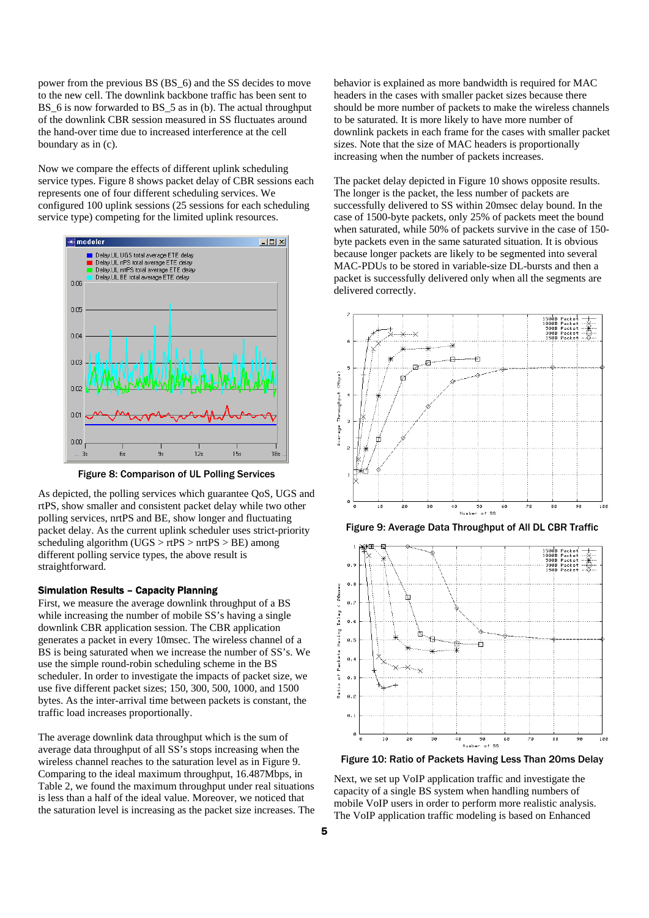power from the previous BS (BS\_6) and the SS decides to move to the new cell. The downlink backbone traffic has been sent to BS 6 is now forwarded to BS 5 as in (b). The actual throughput of the downlink CBR session measured in SS fluctuates around the hand-over time due to increased interference at the cell boundary as in (c).

Now we compare the effects of different uplink scheduling service types. Figure 8 shows packet delay of CBR sessions each represents one of four different scheduling services. We configured 100 uplink sessions (25 sessions for each scheduling service type) competing for the limited uplink resources.



Figure 8: Comparison of UL Polling Services

As depicted, the polling services which guarantee QoS, UGS and rtPS, show smaller and consistent packet delay while two other polling services, nrtPS and BE, show longer and fluctuating packet delay. As the current uplink scheduler uses strict-priority scheduling algorithm (UGS  $>$  rtPS  $>$  nrtPS  $>$  BE) among different polling service types, the above result is straightforward.

# Simulation Results – Capacity Planning

First, we measure the average downlink throughput of a BS while increasing the number of mobile SS's having a single downlink CBR application session. The CBR application generates a packet in every 10msec. The wireless channel of a BS is being saturated when we increase the number of SS's. We use the simple round-robin scheduling scheme in the BS scheduler. In order to investigate the impacts of packet size, we use five different packet sizes; 150, 300, 500, 1000, and 1500 bytes. As the inter-arrival time between packets is constant, the traffic load increases proportionally.

The average downlink data throughput which is the sum of average data throughput of all SS's stops increasing when the wireless channel reaches to the saturation level as in Figure 9. Comparing to the ideal maximum throughput, 16.487Mbps, in Table 2, we found the maximum throughput under real situations is less than a half of the ideal value. Moreover, we noticed that the saturation level is increasing as the packet size increases. The behavior is explained as more bandwidth is required for MAC headers in the cases with smaller packet sizes because there should be more number of packets to make the wireless channels to be saturated. It is more likely to have more number of downlink packets in each frame for the cases with smaller packet sizes. Note that the size of MAC headers is proportionally increasing when the number of packets increases.

The packet delay depicted in Figure 10 shows opposite results. The longer is the packet, the less number of packets are successfully delivered to SS within 20msec delay bound. In the case of 1500-byte packets, only 25% of packets meet the bound when saturated, while 50% of packets survive in the case of 150 byte packets even in the same saturated situation. It is obvious because longer packets are likely to be segmented into several MAC-PDUs to be stored in variable-size DL-bursts and then a packet is successfully delivered only when all the segments are delivered correctly.







Figure 10: Ratio of Packets Having Less Than 20ms Delay

Next, we set up VoIP application traffic and investigate the capacity of a single BS system when handling numbers of mobile VoIP users in order to perform more realistic analysis. The VoIP application traffic modeling is based on Enhanced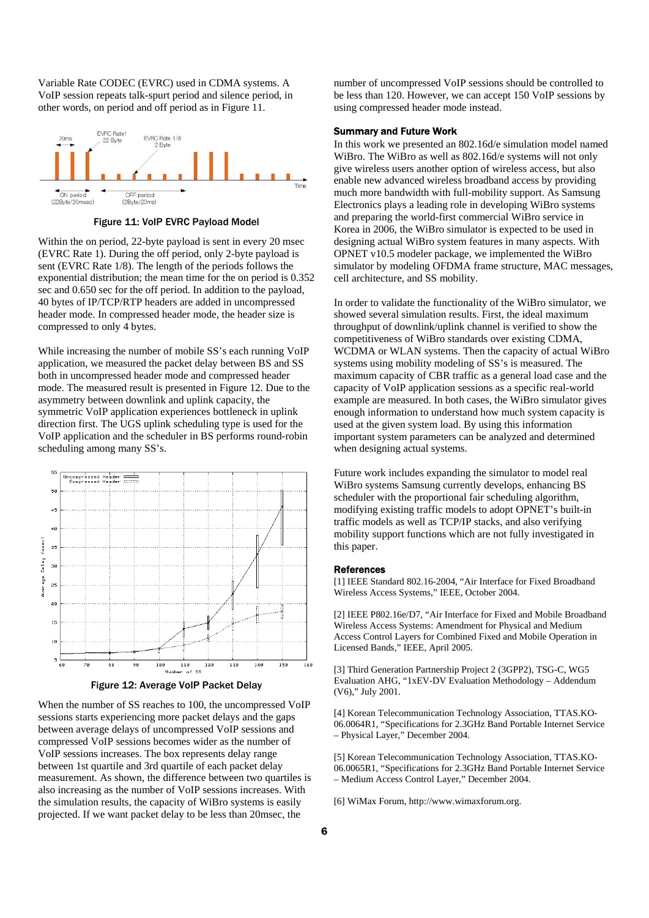Variable Rate CODEC (EVRC) used in CDMA systems. A VoIP session repeats talk-spurt period and silence period, in other words, on period and off period as in Figure 11.



Figure 11: VoIP EVRC Payload Model

Within the on period, 22-byte payload is sent in every 20 msec (EVRC Rate 1). During the off period, only 2-byte payload is sent (EVRC Rate 1/8). The length of the periods follows the exponential distribution; the mean time for the on period is 0.352 sec and 0.650 sec for the off period. In addition to the payload, 40 bytes of IP/TCP/RTP headers are added in uncompressed header mode. In compressed header mode, the header size is compressed to only 4 bytes.

While increasing the number of mobile SS's each running VoIP application, we measured the packet delay between BS and SS both in uncompressed header mode and compressed header mode. The measured result is presented in Figure 12. Due to the asymmetry between downlink and uplink capacity, the symmetric VoIP application experiences bottleneck in uplink direction first. The UGS uplink scheduling type is used for the VoIP application and the scheduler in BS performs round-robin scheduling among many SS's.



Figure 12: Average VoIP Packet Delay

When the number of SS reaches to 100, the uncompressed VoIP sessions starts experiencing more packet delays and the gaps between average delays of uncompressed VoIP sessions and compressed VoIP sessions becomes wider as the number of VoIP sessions increases. The box represents delay range between 1st quartile and 3rd quartile of each packet delay measurement. As shown, the difference between two quartiles is also increasing as the number of VoIP sessions increases. With the simulation results, the capacity of WiBro systems is easily projected. If we want packet delay to be less than 20msec, the

number of uncompressed VoIP sessions should be controlled to be less than 120. However, we can accept 150 VoIP sessions by using compressed header mode instead.

## Summary and Future Work

In this work we presented an 802.16d/e simulation model named WiBro. The WiBro as well as 802.16d/e systems will not only give wireless users another option of wireless access, but also enable new advanced wireless broadband access by providing much more bandwidth with full-mobility support. As Samsung Electronics plays a leading role in developing WiBro systems and preparing the world-first commercial WiBro service in Korea in 2006, the WiBro simulator is expected to be used in designing actual WiBro system features in many aspects. With OPNET v10.5 modeler package, we implemented the WiBro simulator by modeling OFDMA frame structure, MAC messages, cell architecture, and SS mobility.

In order to validate the functionality of the WiBro simulator, we showed several simulation results. First, the ideal maximum throughput of downlink/uplink channel is verified to show the competitiveness of WiBro standards over existing CDMA, WCDMA or WLAN systems. Then the capacity of actual WiBro systems using mobility modeling of SS's is measured. The maximum capacity of CBR traffic as a general load case and the capacity of VoIP application sessions as a specific real-world example are measured. In both cases, the WiBro simulator gives enough information to understand how much system capacity is used at the given system load. By using this information important system parameters can be analyzed and determined when designing actual systems.

Future work includes expanding the simulator to model real WiBro systems Samsung currently develops, enhancing BS scheduler with the proportional fair scheduling algorithm, modifying existing traffic models to adopt OPNET's built-in traffic models as well as TCP/IP stacks, and also verifying mobility support functions which are not fully investigated in this paper.

#### References

[1] IEEE Standard 802.16-2004, "Air Interface for Fixed Broadband Wireless Access Systems," IEEE, October 2004.

[2] IEEE P802.16e/D7, "Air Interface for Fixed and Mobile Broadband Wireless Access Systems: Amendment for Physical and Medium Access Control Layers for Combined Fixed and Mobile Operation in Licensed Bands," IEEE, April 2005.

[3] Third Generation Partnership Project 2 (3GPP2), TSG-C, WG5 Evaluation AHG, "1xEV-DV Evaluation Methodology – Addendum (V6)," July 2001.

[4] Korean Telecommunication Technology Association, TTAS.KO-06.0064R1, "Specifications for 2.3GHz Band Portable Internet Service – Physical Layer," December 2004.

[5] Korean Telecommunication Technology Association, TTAS.KO-06.0065R1, "Specifications for 2.3GHz Band Portable Internet Service – Medium Access Control Layer," December 2004.

[6] WiMax Forum, http://www.wimaxforum.org.